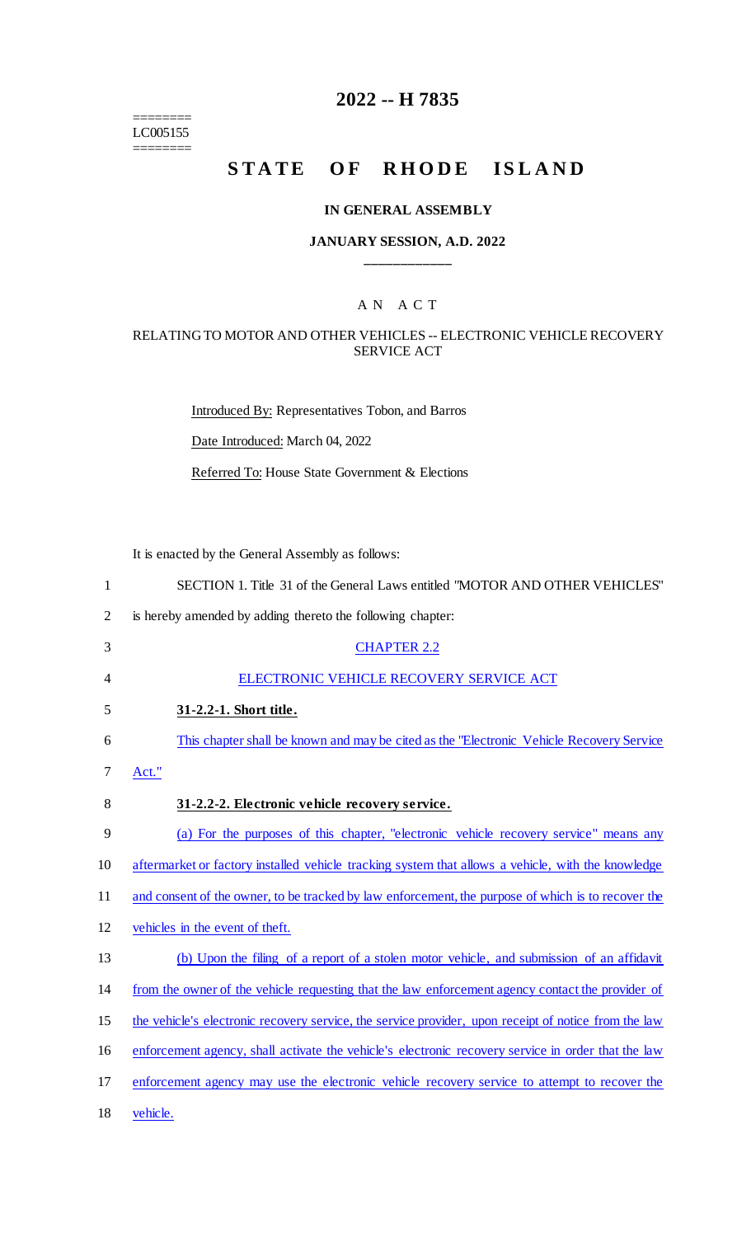======== LC005155 ========

# **2022 -- H 7835**

# STATE OF RHODE ISLAND

### **IN GENERAL ASSEMBLY**

### **JANUARY SESSION, A.D. 2022 \_\_\_\_\_\_\_\_\_\_\_\_**

### A N A C T

### RELATING TO MOTOR AND OTHER VEHICLES -- ELECTRONIC VEHICLE RECOVERY SERVICE ACT

Introduced By: Representatives Tobon, and Barros Date Introduced: March 04, 2022 Referred To: House State Government & Elections

It is enacted by the General Assembly as follows:

| 1              | SECTION 1. Title 31 of the General Laws entitled "MOTOR AND OTHER VEHICLES"                          |
|----------------|------------------------------------------------------------------------------------------------------|
| $\overline{2}$ | is hereby amended by adding thereto the following chapter:                                           |
| 3              | <b>CHAPTER 2.2</b>                                                                                   |
| 4              | ELECTRONIC VEHICLE RECOVERY SERVICE ACT                                                              |
| 5              | 31-2.2-1. Short title.                                                                               |
| 6              | This chapter shall be known and may be cited as the "Electronic Vehicle Recovery Service"            |
| 7              | Act."                                                                                                |
| 8              | 31-2.2-2. Electronic vehicle recovery service.                                                       |
| 9              | (a) For the purposes of this chapter, "electronic vehicle recovery service" means any                |
| 10             | aftermarket or factory installed vehicle tracking system that allows a vehicle, with the knowledge   |
| 11             | and consent of the owner, to be tracked by law enforcement, the purpose of which is to recover the   |
| 12             | vehicles in the event of theft.                                                                      |
| 13             | (b) Upon the filing of a report of a stolen motor vehicle, and submission of an affidavit            |
| 14             | from the owner of the vehicle requesting that the law enforcement agency contact the provider of     |
| 15             | the vehicle's electronic recovery service, the service provider, upon receipt of notice from the law |
| 16             | enforcement agency, shall activate the vehicle's electronic recovery service in order that the law   |
| 17             | enforcement agency may use the electronic vehicle recovery service to attempt to recover the         |
| 18             | vehicle.                                                                                             |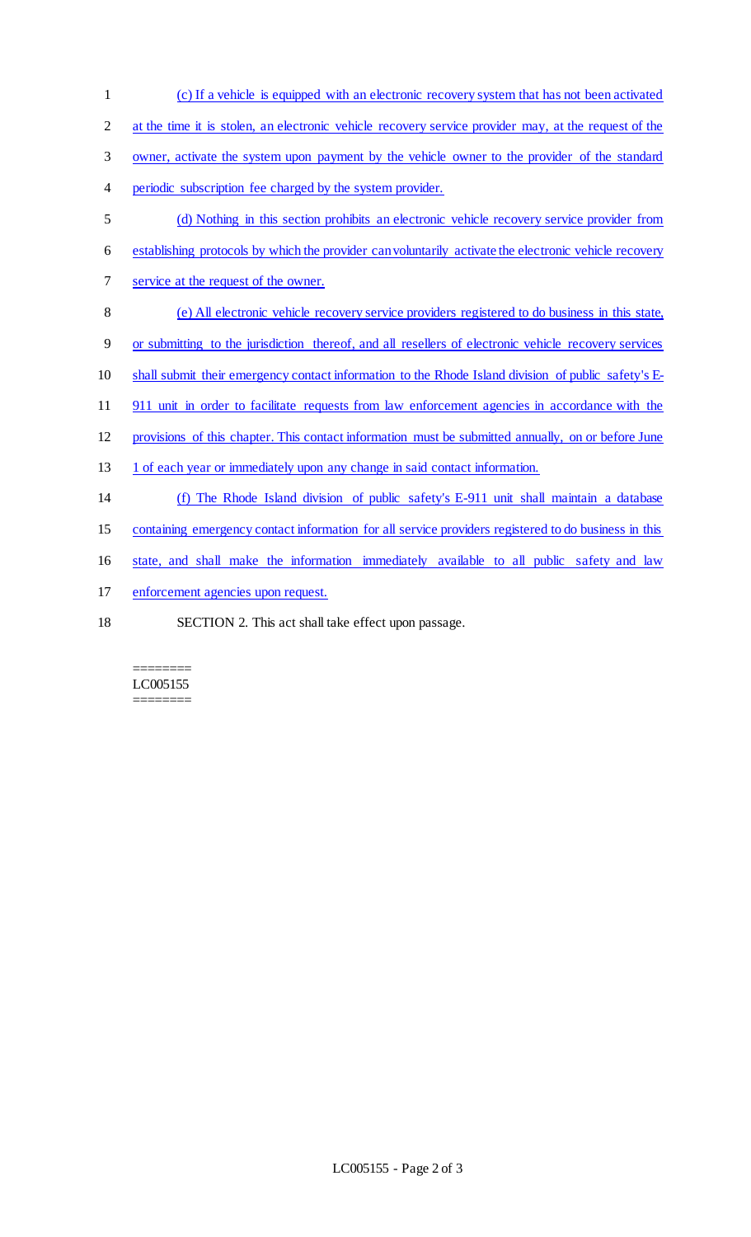| 1              | (c) If a vehicle is equipped with an electronic recovery system that has not been activated           |
|----------------|-------------------------------------------------------------------------------------------------------|
| $\overline{2}$ | at the time it is stolen, an electronic vehicle recovery service provider may, at the request of the  |
| 3              | owner, activate the system upon payment by the vehicle owner to the provider of the standard          |
| 4              | periodic subscription fee charged by the system provider.                                             |
| 5              | (d) Nothing in this section prohibits an electronic vehicle recovery service provider from            |
| 6              | establishing protocols by which the provider can voluntarily activate the electronic vehicle recovery |
| 7              | service at the request of the owner.                                                                  |
| 8              | (e) All electronic vehicle recovery service providers registered to do business in this state,        |
| 9              | or submitting to the jurisdiction thereof, and all resellers of electronic vehicle recovery services  |
| 10             | shall submit their emergency contact information to the Rhode Island division of public safety's E-   |
| 11             | 911 unit in order to facilitate requests from law enforcement agencies in accordance with the         |
| 12             | provisions of this chapter. This contact information must be submitted annually, on or before June    |
| 13             | 1 of each year or immediately upon any change in said contact information.                            |
| 14             | (f) The Rhode Island division of public safety's E-911 unit shall maintain a database                 |
| 15             | containing emergency contact information for all service providers registered to do business in this  |
| 16             | state, and shall make the information immediately available to all public safety and law              |
| 17             | enforcement agencies upon request.                                                                    |
| 18             | SECTION 2. This act shall take effect upon passage.                                                   |

#### ======== LC005155 ========